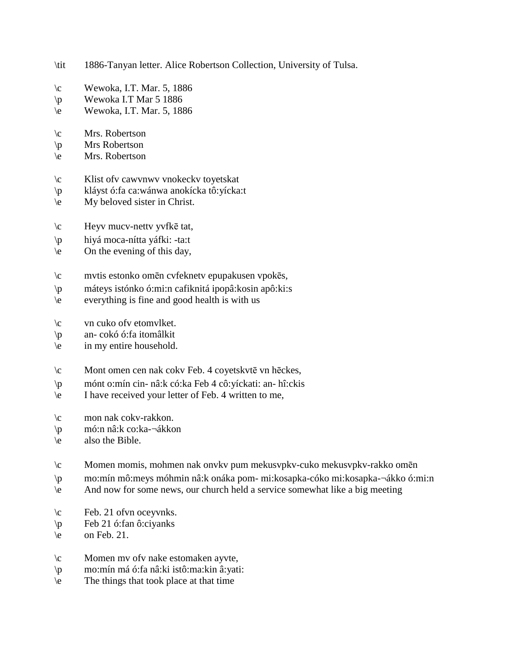- \tit 1886-Tanyan letter. Alice Robertson Collection, University of Tulsa.
- $\c$  Wewoka, I.T. Mar. 5, 1886
- \p Wewoka I.T Mar 5 1886
- \e Wewoka, I.T. Mar. 5, 1886
- \c Mrs. Robertson
- \p Mrs Robertson
- \e Mrs. Robertson
- \c Klist ofv cawvnwv vnokeckv toyetskat
- \p kláyst ó:fa ca:wánwa anokícka tô:yícka:t
- \e My beloved sister in Christ.
- \c Heyv mucv-nettv yvfkē tat,
- \p hiyá moca-nítta yáfki: -ta:t
- $\leq$  On the evening of this day,
- \c mvtis estonko omēn cvfeknetv epupakusen vpokēs,
- \p máteys istónko ó:mi:n cafiknitá ipopâ:kosin apô:ki:s
- \e everything is fine and good health is with us
- \c vn cuko ofv etomvlket.
- \p an- cokó ó:fa itomâlkit
- \e in my entire household.
- \c Mont omen cen nak cokv Feb. 4 coyetskvtē vn hēckes,
- \p mónt o:mín cin- nâ:k có:ka Feb 4 cô:yíckati: an- hî:ckis
- \e I have received your letter of Feb. 4 written to me,
- \c mon nak cokv-rakkon.
- \p mó:n nâ:k co:ka-¬ákkon
- \e also the Bible.
- \c Momen momis, mohmen nak onvkv pum mekusvpkv-cuko mekusvpkv-rakko omēn
- \p mo:mín mô:meys móhmin nâ:k onáka pom- mi:kosapka-cóko mi:kosapka-¬ákko ó:mi:n
- \e And now for some news, our church held a service somewhat like a big meeting
- $\c$  Feb. 21 of vn oceyvnks.
- $\overline{p}$  Feb 21 ó:fan ô:ciyanks
- $\leq$  on Feb. 21.
- \c Momen mv ofv nake estomaken ayvte,
- \p mo:mín má ó:fa nâ:ki istô:ma:kin â:yati:
- \e The things that took place at that time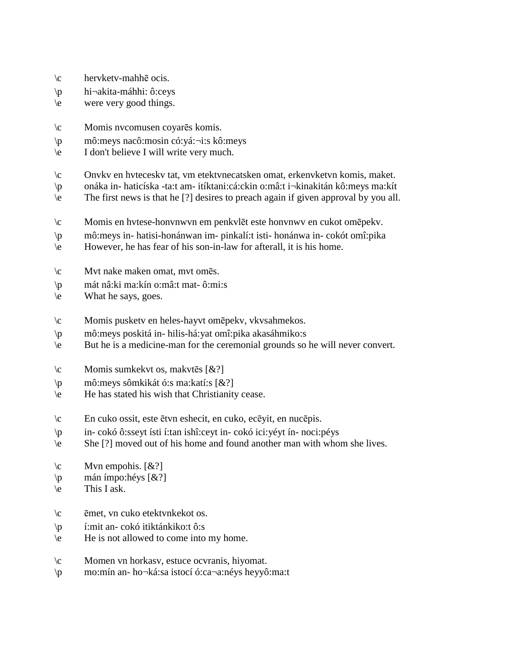- \c hervketv-mahhē ocis.
- \p hi¬akita-máhhi: ô:ceys
- \e were very good things.
- \c Momis nvcomusen coyarēs komis.
- \p mô:meys nacô:mosin có:yá:¬i:s kô:meys
- \e I don't believe I will write very much.
- \c Onvkv en hvteceskv tat, vm etektvnecatsken omat, erkenvketvn komis, maket.
- \p onáka in- haticíska -ta:t am- itíktani:cá:ckin o:mâ:t i¬kinakitán kô:meys ma:kít
- \e The first news is that he [?] desires to preach again if given approval by you all.
- \c Momis en hvtese-honvnwvn em penkvlēt este honvnwv en cukot omēpekv.
- \p mô:meys in- hatisi-honánwan im- pinkalí:t isti- honánwa in- cokót omî:pika
- \e However, he has fear of his son-in-law for afterall, it is his home.
- \c Mvt nake maken omat, mvt omēs.
- \p mát nâ:ki ma:kín o:mâ:t mat- ô:mi:s
- \e What he says, goes.
- \c Momis pusketv en heles-hayvt omēpekv, vkvsahmekos.
- \p mô:meys poskitá in- hilis-há:yat omî:pika akasáhmiko:s
- \e But he is a medicine-man for the ceremonial grounds so he will never convert.
- $\c$  Momis sumkekvt os, makvtēs  $[&\hat{\mathcal{X}}]$
- \p mô:meys sômkikát ó:s ma:katí:s [&?]
- \e He has stated his wish that Christianity cease.
- \c En cuko ossit, este ētvn eshecit, en cuko, ecēyit, en nucēpis.
- \p in- cokó ô:sseyt ísti í:tan ishî:ceyt in- cokó ici:yéyt ín- noci:péys
- \e She [?] moved out of his home and found another man with whom she lives.
- $\c$  Mvn empohis.  $[&2]$
- $\pi$  mán ímpo:héys [&?]
- $\le$  This I ask.
- \c ēmet, vn cuko etektvnkekot os.
- \p í:mit an- cokó itiktánkiko:t ô:s
- \e He is not allowed to come into my home.
- \c Momen vn horkasv, estuce ocvranis, hiyomat.
- \p mo:mín an- ho¬ká:sa istocí ó:ca¬a:néys heyyô:ma:t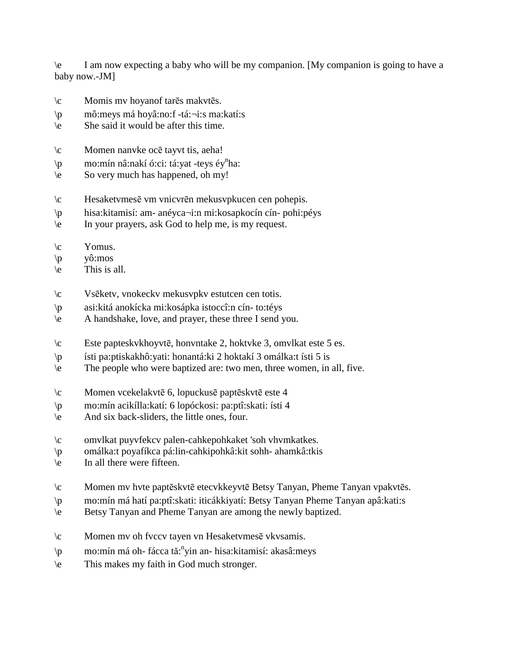\e I am now expecting a baby who will be my companion. [My companion is going to have a baby now.-JM]

- \c Momis mv hoyanof tarēs makvtēs.
- \p mô:meys má hoyâ:no:f -tá:¬i:s ma:katí:s
- \e She said it would be after this time.
- \c Momen nanvke ocē tayvt tis, aeha!
- \p mo:mín nâ:nakí ó:ci: tá:yat -teys éy<sup>n</sup>ha:
- \e So very much has happened, oh my!
- \c Hesaketvmesē vm vnicvrēn mekusvpkucen cen pohepis.
- \p hisa:kitamisí: am- anéyca¬i:n mi:kosapkocín cín- pohi:péys
- \e In your prayers, ask God to help me, is my request.
- $\operatorname{V}\nolimits$  Yomus.
- $\pi$  yô:mos
- $\le$  This is all.
- \c Vsēketv, vnokeckv mekusvpkv estutcen cen totis.
- \p asi:kitá anokícka mi:kosápka istoccî:n cín- to:téys
- \e A handshake, love, and prayer, these three I send you.
- \c Este papteskvkhoyvtē, honvntake 2, hoktvke 3, omvlkat este 5 es.
- \p ísti pa:ptiskakhô:yati: honantá:ki 2 hoktakí 3 omálka:t ísti 5 is
- \e The people who were baptized are: two men, three women, in all, five.
- \c Momen vcekelakvtē 6, lopuckusē paptēskvtē este 4
- \p mo:mín acikílla:katí: 6 lopóckosi: pa:ptî:skati: ísti 4
- \e And six back-sliders, the little ones, four.
- \c omvlkat puyvfekcv palen-cahkepohkaket 'soh vhvmkatkes.
- \p omálka:t poyafíkca pá:lin-cahkipohkâ:kit sohh- ahamkâ:tkis
- \e In all there were fifteen.
- \c Momen mv hvte paptēskvtē etecvkkeyvtē Betsy Tanyan, Pheme Tanyan vpakvtēs.
- \p mo:mín má hatí pa:ptî:skati: iticákkiyatí: Betsy Tanyan Pheme Tanyan apâ:kati:s
- \e Betsy Tanyan and Pheme Tanyan are among the newly baptized.
- \c Momen mv oh fvccv tayen vn Hesaketvmesē vkvsamis.
- \p mo:mín má oh- fácca tă:<sup>n</sup>yin an- hisa:kitamisí: akasâ:meys
- \e This makes my faith in God much stronger.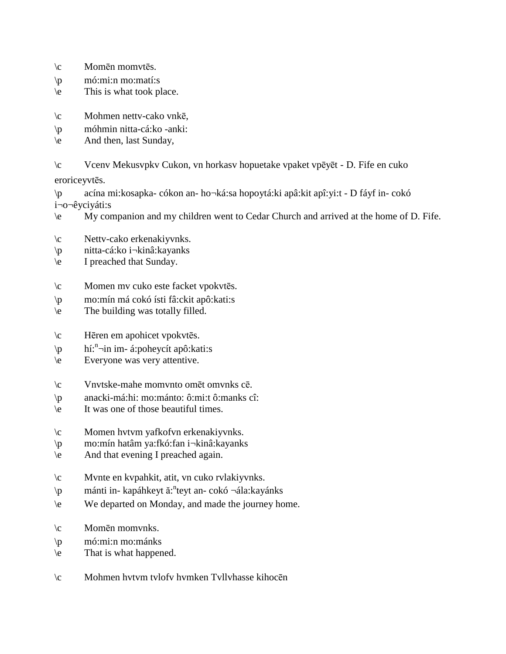- \c Momēn momvtēs.
- $\pi$  mó:mi:n mo:matí:s
- \e This is what took place.
- \c Mohmen nettv-cako vnkē,
- \p móhmin nitta-cá:ko -anki:
- \e And then, last Sunday,
- \c Vcenv Mekusvpkv Cukon, vn horkasv hopuetake vpaket vpēyēt D. Fife en cuko

eroriceyvtēs.

- \p acína mi:kosapka- cókon an- ho¬ká:sa hopoytá:ki apâ:kit apî:yi:t D fáyf in- cokó i¬o¬êyciyáti:s
- \e My companion and my children went to Cedar Church and arrived at the home of D. Fife.
- \c Nettv-cako erkenakiyvnks.
- \p nitta-cá:ko i¬kinâ:kayanks
- \e I preached that Sunday.
- \c Momen mv cuko este facket vpokvtēs.
- \p mo:mín má cokó ísti fâ:ckit apô:kati:s
- \e The building was totally filled.
- \c Hēren em apohicet vpokvtēs.
- $\pi$  hí:<sup>n</sup> in im- á:poheycít apô:kati:s
- \e Everyone was very attentive.
- \c Vnvtske-mahe momvnto omēt omvnks cē.
- \p anacki-má:hi: mo:mánto: ô:mi:t ô:manks cî:
- \e It was one of those beautiful times.
- \c Momen hvtvm yafkofvn erkenakiyvnks.
- \p mo:mín hatâm ya:fkó:fan i¬kinâ:kayanks
- \e And that evening I preached again.
- \c Mvnte en kvpahkit, atit, vn cuko rvlakiyvnks.
- \p mánti in- kapáhkeyt ă:<sup>n</sup>teyt an- cokó ¬ála:kayánks
- \e We departed on Monday, and made the journey home.
- \c Momēn momvnks.
- \p mó:mi:n mo:mánks
- \e That is what happened.
- \c Mohmen hvtvm tvlofv hvmken Tvllvhasse kihocēn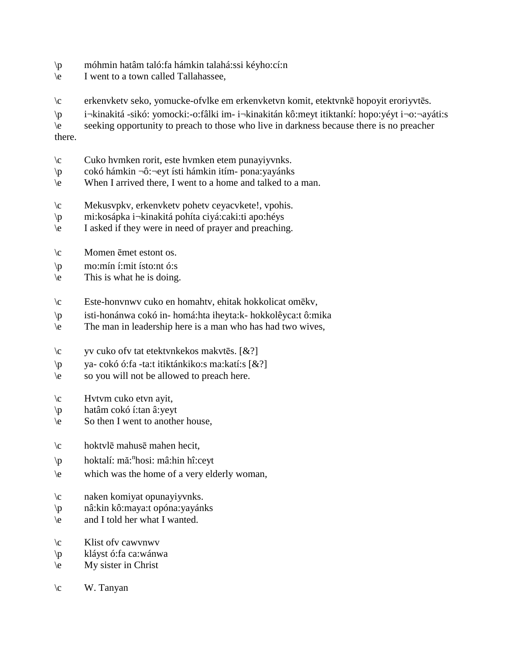- \p móhmin hatâm taló:fa hámkin talahá:ssi kéyho:cí:n
- \e I went to a town called Tallahassee,
- \c erkenvketv seko, yomucke-ofvlke em erkenvketvn komit, etektvnkē hopoyit eroriyvtēs.

\p i¬kinakitá -sikó: yomocki:-o:fâlki im- i¬kinakitán kô:meyt itiktankí: hopo:yéyt i¬o:¬ayáti:s

\e seeking opportunity to preach to those who live in darkness because there is no preacher there.

- \c Cuko hvmken rorit, este hvmken etem punayiyvnks.
- \p cokó hámkin ¬ô:¬eyt ísti hámkin itím- pona:yayánks
- \e When I arrived there, I went to a home and talked to a man.
- \c Mekusvpkv, erkenvketv pohetv ceyacvkete!, vpohis.
- \p mi:kosápka i¬kinakitá pohíta ciyá:caki:ti apo:héys
- \e I asked if they were in need of prayer and preaching.
- \c Momen ēmet estont os.
- $\uparrow$  mo:mín í:mit ísto:nt ó:s
- \e This is what he is doing.
- \c Este-honvnwv cuko en homahtv, ehitak hokkolicat omēkv,
- \p isti-honánwa cokó in- homá:hta iheyta:k- hokkolêyca:t ô:mika
- \e The man in leadership here is a man who has had two wives,
- \c yv cuko ofv tat etektvnkekos makvtēs. [&?]
- \p ya- cokó ó:fa -ta:t itiktánkiko:s ma:katí:s [&?]
- \e so you will not be allowed to preach here.
- $\c$  Hvtvm cuko etvn ayit,
- \p hatâm cokó í:tan â:yeyt
- $\leq$  So then I went to another house,
- \c hoktvlē mahusē mahen hecit,
- \p hoktalí: mă: n hosi: mâ:hin hî:ceyt
- \e which was the home of a very elderly woman,
- \c naken komiyat opunayiyvnks.
- \p nâ:kin kô:maya:t opóna:yayánks
- \e and I told her what I wanted.
- \c Klist ofv cawvnwv
- \p kláyst ó:fa ca:wánwa
- \e My sister in Christ
- $\c$  W. Tanyan